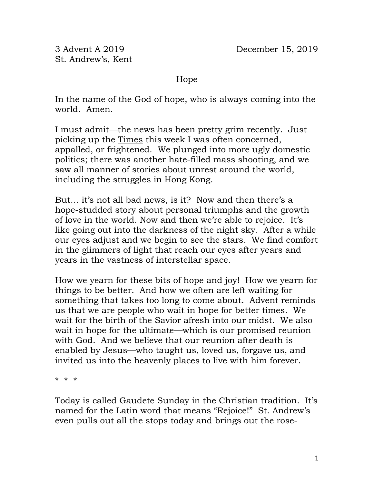St. Andrew's, Kent

Hope

In the name of the God of hope, who is always coming into the world. Amen.

I must admit—the news has been pretty grim recently. Just picking up the Times this week I was often concerned, appalled, or frightened. We plunged into more ugly domestic politics; there was another hate-filled mass shooting, and we saw all manner of stories about unrest around the world, including the struggles in Hong Kong.

But… it's not all bad news, is it? Now and then there's a hope-studded story about personal triumphs and the growth of love in the world. Now and then we're able to rejoice. It's like going out into the darkness of the night sky. After a while our eyes adjust and we begin to see the stars. We find comfort in the glimmers of light that reach our eyes after years and years in the vastness of interstellar space.

How we yearn for these bits of hope and joy! How we yearn for things to be better. And how we often are left waiting for something that takes too long to come about. Advent reminds us that we are people who wait in hope for better times. We wait for the birth of the Savior afresh into our midst. We also wait in hope for the ultimate—which is our promised reunion with God. And we believe that our reunion after death is enabled by Jesus—who taught us, loved us, forgave us, and invited us into the heavenly places to live with him forever.

\* \* \*

Today is called Gaudete Sunday in the Christian tradition. It's named for the Latin word that means "Rejoice!" St. Andrew's even pulls out all the stops today and brings out the rose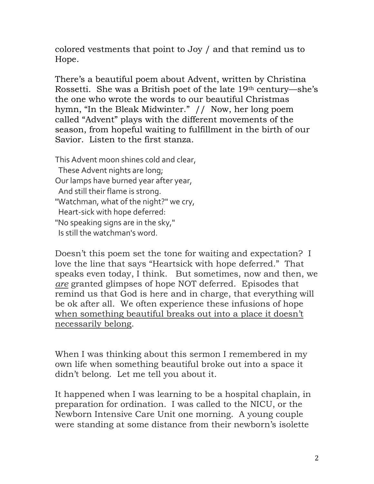colored vestments that point to Joy / and that remind us to Hope.

There's a beautiful poem about Advent, written by Christina Rossetti. She was a British poet of the late 19th century—she's the one who wrote the words to our beautiful Christmas hymn, "In the Bleak Midwinter." // Now, her long poem called "Advent" plays with the different movements of the season, from hopeful waiting to fulfillment in the birth of our Savior. Listen to the first stanza.

This Advent moon shines cold and clear, These Advent nights are long; Our lamps have burned year after year, And still their flame is strong. "Watchman, what of the night?" we cry, Heart-sick with hope deferred: "No speaking signs are in the sky," Is still the watchman's word.

Doesn't this poem set the tone for waiting and expectation? I love the line that says "Heartsick with hope deferred." That speaks even today, I think. But sometimes, now and then, we *are* granted glimpses of hope NOT deferred. Episodes that remind us that God is here and in charge, that everything will be ok after all. We often experience these infusions of hope when something beautiful breaks out into a place it doesn't necessarily belong.

When I was thinking about this sermon I remembered in my own life when something beautiful broke out into a space it didn't belong. Let me tell you about it.

It happened when I was learning to be a hospital chaplain, in preparation for ordination. I was called to the NICU, or the Newborn Intensive Care Unit one morning. A young couple were standing at some distance from their newborn's isolette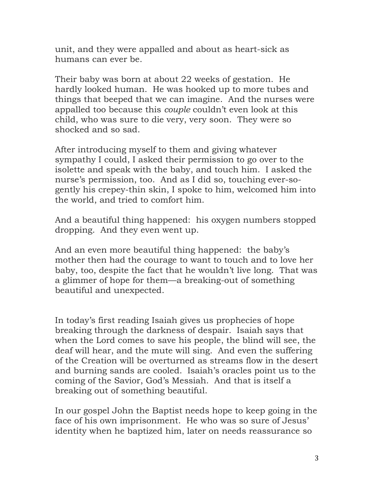unit, and they were appalled and about as heart-sick as humans can ever be.

Their baby was born at about 22 weeks of gestation. He hardly looked human. He was hooked up to more tubes and things that beeped that we can imagine. And the nurses were appalled too because this *couple* couldn't even look at this child, who was sure to die very, very soon. They were so shocked and so sad.

After introducing myself to them and giving whatever sympathy I could, I asked their permission to go over to the isolette and speak with the baby, and touch him. I asked the nurse's permission, too. And as I did so, touching ever-sogently his crepey-thin skin, I spoke to him, welcomed him into the world, and tried to comfort him.

And a beautiful thing happened: his oxygen numbers stopped dropping. And they even went up.

And an even more beautiful thing happened: the baby's mother then had the courage to want to touch and to love her baby, too, despite the fact that he wouldn't live long. That was a glimmer of hope for them—a breaking-out of something beautiful and unexpected.

In today's first reading Isaiah gives us prophecies of hope breaking through the darkness of despair. Isaiah says that when the Lord comes to save his people, the blind will see, the deaf will hear, and the mute will sing. And even the suffering of the Creation will be overturned as streams flow in the desert and burning sands are cooled. Isaiah's oracles point us to the coming of the Savior, God's Messiah. And that is itself a breaking out of something beautiful.

In our gospel John the Baptist needs hope to keep going in the face of his own imprisonment. He who was so sure of Jesus' identity when he baptized him, later on needs reassurance so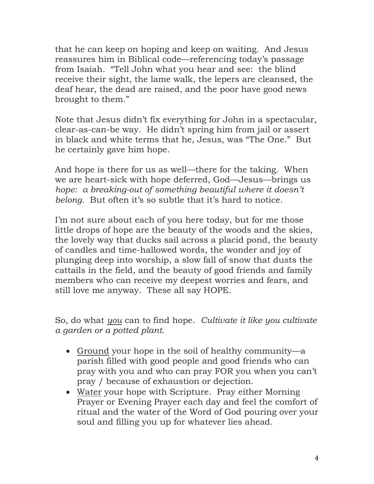that he can keep on hoping and keep on waiting. And Jesus reassures him in Biblical code—referencing today's passage from Isaiah. "Tell John what you hear and see: the blind receive their sight, the lame walk, the lepers are cleansed, the deaf hear, the dead are raised, and the poor have good news brought to them."

Note that Jesus didn't fix everything for John in a spectacular, clear-as-can-be way. He didn't spring him from jail or assert in black and white terms that he, Jesus, was "The One." But he certainly gave him hope.

And hope is there for us as well—there for the taking. When we are heart-sick with hope deferred, God—Jesus—brings us *hope: a breaking-out of something beautiful where it doesn't belong*. But often it's so subtle that it's hard to notice.

I'm not sure about each of you here today, but for me those little drops of hope are the beauty of the woods and the skies, the lovely way that ducks sail across a placid pond, the beauty of candles and time-hallowed words, the wonder and joy of plunging deep into worship, a slow fall of snow that dusts the cattails in the field, and the beauty of good friends and family members who can receive my deepest worries and fears, and still love me anyway. These all say HOPE.

So, do what *you* can to find hope. *Cultivate it like you cultivate a garden or a potted plant.* 

- Ground your hope in the soil of healthy community—a parish filled with good people and good friends who can pray with you and who can pray FOR you when you can't pray / because of exhaustion or dejection.
- Water your hope with Scripture. Pray either Morning Prayer or Evening Prayer each day and feel the comfort of ritual and the water of the Word of God pouring over your soul and filling you up for whatever lies ahead.